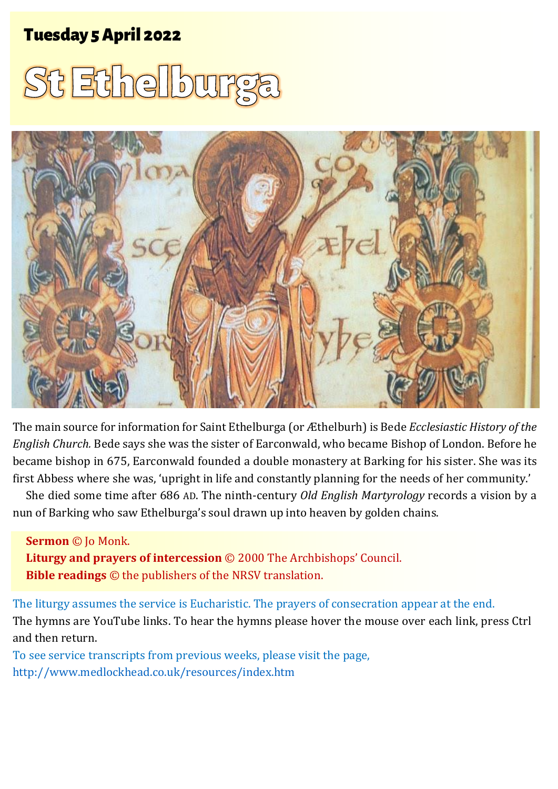# Tuesday 5 April 2022 1 **St Ethelburga** Tuesday 5 April 2022





The main source for information for Saint Ethelburga (or Æthelburh) is Bede *Ecclesiastic History of the English Church.* Bede says she was the sister of Earconwald, who became Bishop of London. Before he became bishop in 675, Earconwald founded a double monastery at Barking for his sister. She was its first Abbess where she was, 'upright in life and constantly planning for the needs of her community.'

She died some time after 686 AD. The ninth-century *Old English Martyrology* records a vision by a nun of Barking who saw Ethelburga's soul drawn up into heaven by golden chains.

#### **Sermon** © Jo Monk.

**Liturgy and prayers of intercession** © 2000 The Archbishops' Council. **Bible readings** © the publishers of the NRSV translation.

The liturgy assumes the service is Eucharistic. The prayers of consecration appear at the end. The hymns are YouTube links. To hear the hymns please hover the mouse over each link, press Ctrl and then return.

To see service transcripts from previous weeks, please visit the page, <http://www.medlockhead.co.uk/resources/index.htm>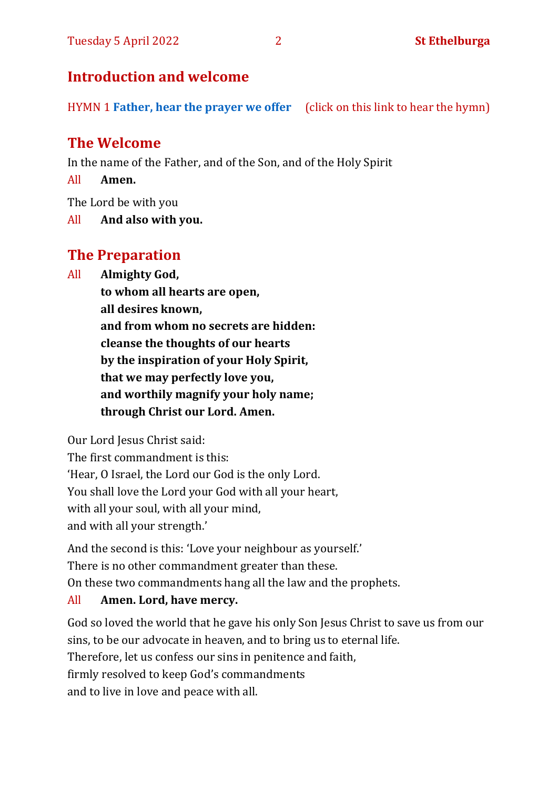# **Introduction and welcome**

HYMN 1 **[Father, hear the prayer we offer](https://youtu.be/Qd_K44OAvAM)** (click on this link to hear the hymn)

# **The Welcome**

In the name of the Father, and of the Son, and of the Holy Spirit

All **Amen.**

The Lord be with you

All **And also with you.**

# **The Preparation**

All **Almighty God,**

**to whom all hearts are open, all desires known, and from whom no secrets are hidden: cleanse the thoughts of our hearts by the inspiration of your Holy Spirit, that we may perfectly love you, and worthily magnify your holy name; through Christ our Lord. Amen.**

Our Lord Jesus Christ said:

The first commandment is this: 'Hear, O Israel, the Lord our God is the only Lord. You shall love the Lord your God with all your heart, with all your soul, with all your mind, and with all your strength.'

And the second is this: 'Love your neighbour as yourself.' There is no other commandment greater than these. On these two commandments hang all the law and the prophets.

#### All **Amen. Lord, have mercy.**

God so loved the world that he gave his only Son Jesus Christ to save us from our sins, to be our advocate in heaven, and to bring us to eternal life. Therefore, let us confess our sins in penitence and faith, firmly resolved to keep God's commandments and to live in love and peace with all.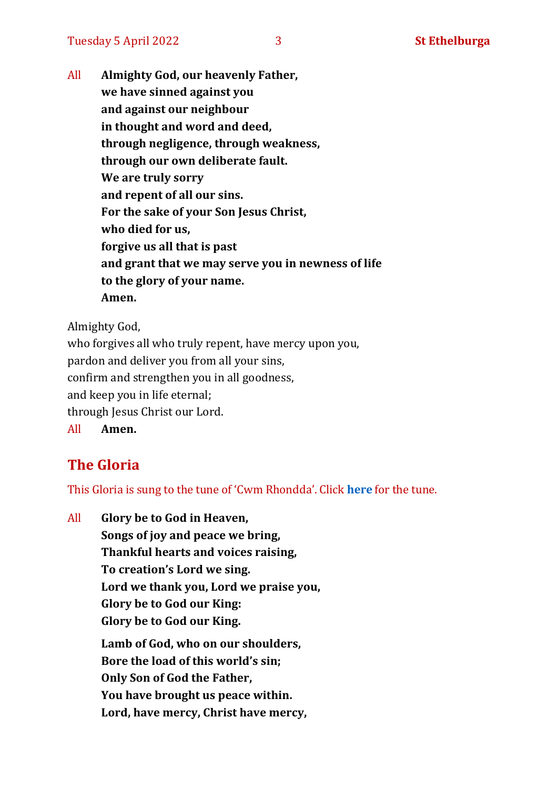All **Almighty God, our heavenly Father, we have sinned against you and against our neighbour in thought and word and deed, through negligence, through weakness, through our own deliberate fault. We are truly sorry and repent of all our sins. For the sake of your Son Jesus Christ, who died for us, forgive us all that is past and grant that we may serve you in newness of life to the glory of your name. Amen.**

Almighty God,

who forgives all who truly repent, have mercy upon you, pardon and deliver you from all your sins, confirm and strengthen you in all goodness, and keep you in life eternal; through Jesus Christ our Lord. All **Amen.**

# **The Gloria**

This Gloria is sung to the tune of 'Cwm Rhondda'. Click **[here](about:blank)** for the tune.

All **Glory be to God in Heaven, Songs of joy and peace we bring, Thankful hearts and voices raising, To creation's Lord we sing. Lord we thank you, Lord we praise you, Glory be to God our King: Glory be to God our King. Lamb of God, who on our shoulders, Bore the load of this world's sin; Only Son of God the Father, You have brought us peace within. Lord, have mercy, Christ have mercy,**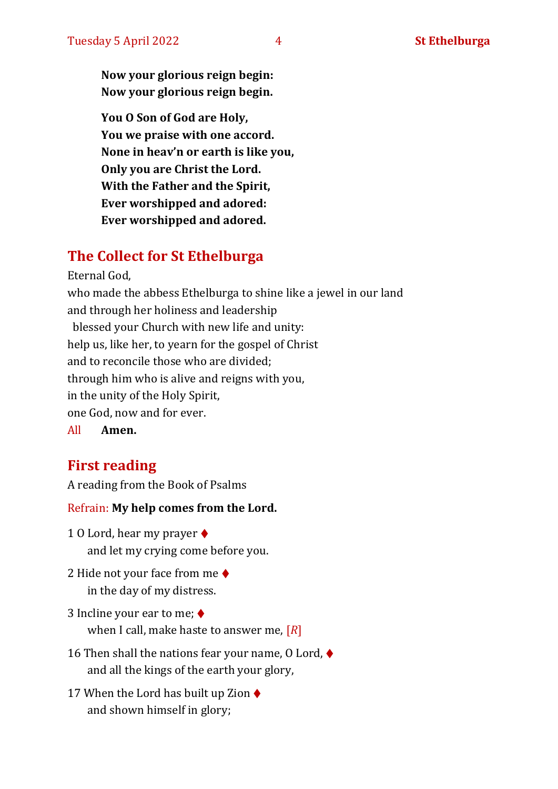**Now your glorious reign begin: Now your glorious reign begin.**

**You O Son of God are Holy, You we praise with one accord. None in heav'n or earth is like you, Only you are Christ the Lord. With the Father and the Spirit, Ever worshipped and adored: Ever worshipped and adored.**

# **The Collect for St Ethelburga**

Eternal God,

who made the abbess Ethelburga to shine like a jewel in our land and through her holiness and leadership blessed your Church with new life and unity: help us, like her, to yearn for the gospel of Christ and to reconcile those who are divided; through him who is alive and reigns with you, in the unity of the Holy Spirit, one God, now and for ever.

All **Amen.**

# **First reading**

A reading from the Book of Psalms

Refrain: **My help comes from the Lord.**

- 1 O Lord, hear my prayer ♦ and let my crying come before you.
- 2 Hide not your face from me ♦ in the day of my distress.
- 3 Incline your ear to me; ♦ when I call, make haste to answer me, [*R*]
- 16 Then shall the nations fear your name,  $0$  Lord,  $\blacklozenge$ and all the kings of the earth your glory,
- 17 When the Lord has built up Zion  $\triangleleft$ and shown himself in glory;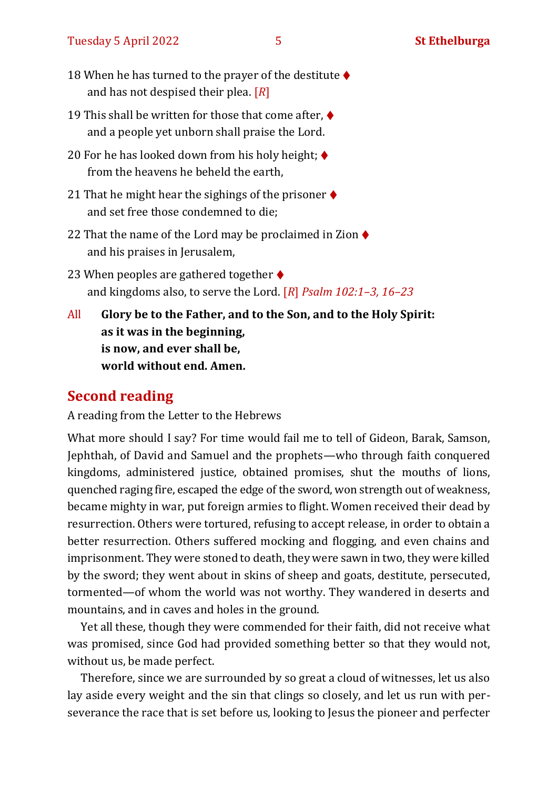#### Tuesday 5 April 2022 **5** 5 **St Ethelburga**

- 18 When he has turned to the prayer of the destitute  $\blacklozenge$ and has not despised their plea. [*R*]
- 19 This shall be written for those that come after,  $\blacklozenge$ and a people yet unborn shall praise the Lord.
- 20 For he has looked down from his holy height;  $\blacklozenge$ from the heavens he beheld the earth,
- 21 That he might hear the sighings of the prisoner  $\blacklozenge$ and set free those condemned to die;
- 22 That the name of the Lord may be proclaimed in Zion  $\blacklozenge$ and his praises in Jerusalem,
- 23 When peoples are gathered together  $\blacklozenge$ and kingdoms also, to serve the Lord. [*R*] *Psalm 102:1–3, 16–23*
- All **Glory be to the Father, and to the Son, and to the Holy Spirit: as it was in the beginning, is now, and ever shall be, world without end. Amen.**

#### **Second reading**

A reading from the Letter to the Hebrews

What more should I say? For time would fail me to tell of Gideon, Barak, Samson, Jephthah, of David and Samuel and the prophets—who through faith conquered kingdoms, administered justice, obtained promises, shut the mouths of lions, quenched raging fire, escaped the edge of the sword, won strength out of weakness, became mighty in war, put foreign armies to flight. Women received their dead by resurrection. Others were tortured, refusing to accept release, in order to obtain a better resurrection. Others suffered mocking and flogging, and even chains and imprisonment. They were stoned to death, they were sawn in two, they were killed by the sword; they went about in skins of sheep and goats, destitute, persecuted, tormented—of whom the world was not worthy. They wandered in deserts and mountains, and in caves and holes in the ground.

Yet all these, though they were commended for their faith, did not receive what was promised, since God had provided something better so that they would not, without us, be made perfect.

Therefore, since we are surrounded by so great a cloud of witnesses, let us also lay aside every weight and the sin that clings so closely, and let us run with perseverance the race that is set before us, looking to Jesus the pioneer and perfecter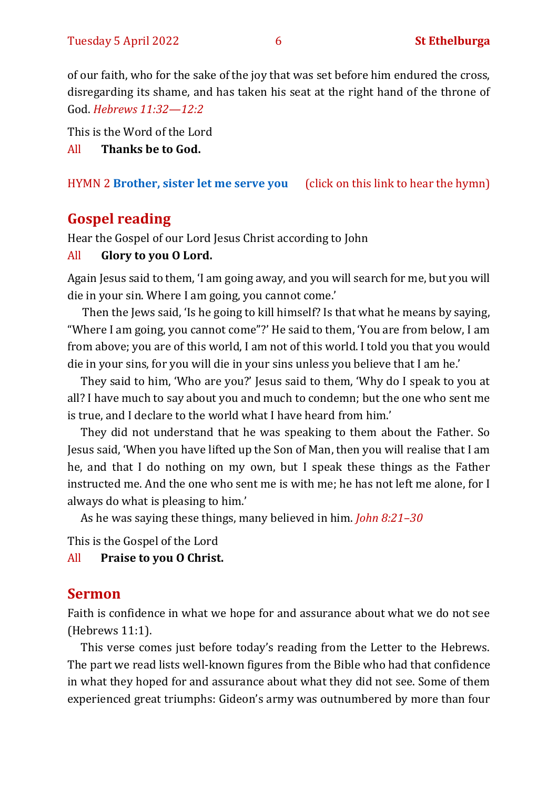of our faith, who for the sake ofthe joy that was set before him endured the cross, disregarding its shame, and has taken his seat at the right hand of the throne of God. *Hebrews 11:32—12:2*

This is the Word of the Lord

All **Thanks be to God.**

### HYMN 2 **[Brother, sister let me serve you](https://youtu.be/hlNoxoOocZs)** (click on this link to hear the hymn)

# **Gospel reading**

Hear the Gospel of our Lord Jesus Christ according to John

### All **Glory to you O Lord.**

Again Jesus said to them, 'I am going away, and you will search for me, but you will die in your sin. Where I am going, you cannot come.'

Then the Jews said, 'Is he going to kill himself? Is that what he means by saying, "Where I am going, you cannot come"?' He said to them, 'You are from below, I am from above; you are of this world, I am not of this world. I told you that you would die in your sins, for you will die in your sins unless you believe that I am he.'

They said to him, 'Who are you?' Jesus said to them, 'Why do I speak to you at all? I have much to say about you and much to condemn; but the one who sent me is true, and I declare to the world what I have heard from him.'

They did not understand that he was speaking to them about the Father. So Jesus said, 'When you have lifted up the Son of Man, then you will realise that I am he, and that I do nothing on my own, but I speak these things as the Father instructed me. And the one who sent me is with me; he has not left me alone, for I always do what is pleasing to him.'

As he was saying these things, many believed in him. *John 8:21–30*

This is the Gospel of the Lord

All **Praise to you O Christ.** 

# **Sermon**

Faith is confidence in what we hope for and assurance about what we do not see (Hebrews 11:1).

This verse comes just before today's reading from the Letter to the Hebrews. The part we read lists well-known figures from the Bible who had that confidence in what they hoped for and assurance about what they did not see. Some of them experienced great triumphs: Gideon's army was outnumbered by more than four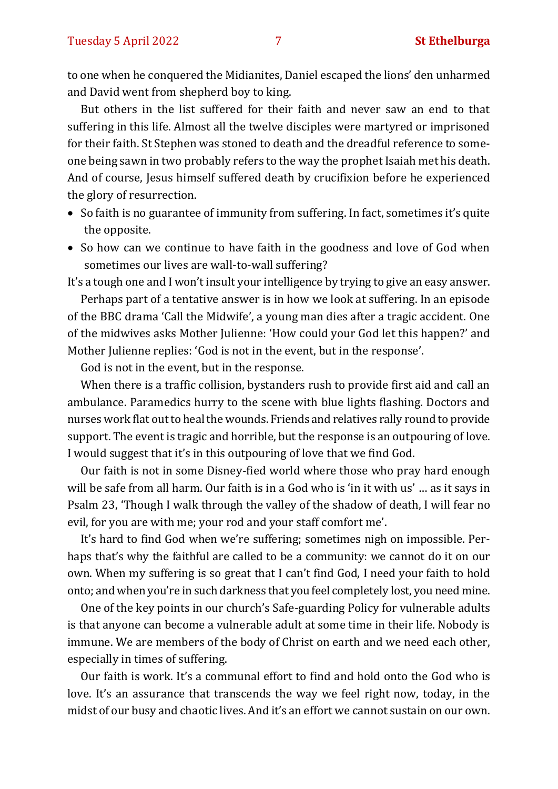to one when he conquered the Midianites, Daniel escaped the lions' den unharmed and David went from shepherd boy to king.

But others in the list suffered for their faith and never saw an end to that suffering in this life. Almost all the twelve disciples were martyred or imprisoned for their faith. St Stephen was stoned to death and the dreadful reference to someone being sawn in two probably refers to the way the prophet Isaiah met his death. And of course, Jesus himself suffered death by crucifixion before he experienced the glory of resurrection.

- So faith is no guarantee of immunity from suffering. In fact, sometimes it's quite the opposite.
- So how can we continue to have faith in the goodness and love of God when sometimes our lives are wall-to-wall suffering?

It's a tough one and I won't insult your intelligence by trying to give an easy answer.

Perhaps part of a tentative answer is in how we look at suffering. In an episode of the BBC drama 'Call the Midwife', a young man dies after a tragic accident. One of the midwives asks Mother Julienne: 'How could your God let this happen?' and Mother Julienne replies: 'God is not in the event, but in the response'.

God is not in the event, but in the response.

When there is a traffic collision, bystanders rush to provide first aid and call an ambulance. Paramedics hurry to the scene with blue lights flashing. Doctors and nurses work flat out to heal the wounds. Friends and relatives rally round to provide support. The event is tragic and horrible, but the response is an outpouring of love. I would suggest that it's in this outpouring of love that we find God.

Our faith is not in some Disney-fied world where those who pray hard enough will be safe from all harm. Our faith is in a God who is 'in it with us' … as it says in Psalm 23, 'Though I walk through the valley of the shadow of death, I will fear no evil, for you are with me; your rod and your staff comfort me'.

It's hard to find God when we're suffering; sometimes nigh on impossible. Perhaps that's why the faithful are called to be a community: we cannot do it on our own. When my suffering is so great that I can't find God, I need your faith to hold onto; and when you're in such darkness that you feel completely lost, you need mine.

One of the key points in our church's Safe-guarding Policy for vulnerable adults is that anyone can become a vulnerable adult at some time in their life. Nobody is immune. We are members of the body of Christ on earth and we need each other, especially in times of suffering.

Our faith is work. It's a communal effort to find and hold onto the God who is love. It's an assurance that transcends the way we feel right now, today, in the midst of our busy and chaotic lives. And it's an effort we cannot sustain on our own.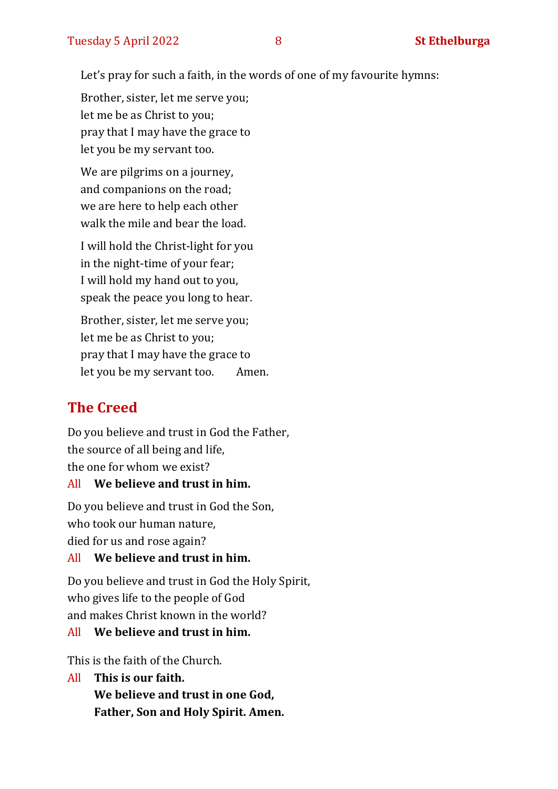Let's pray for such a faith, in the words of one of my favourite hymns:

Brother, sister, let me serve you; let me be as Christ to you; pray that I may have the grace to let you be my servant too.

We are pilgrims on a journey, and companions on the road; we are here to help each other walk the mile and bear the load.

I will hold the Christ-light for you in the night-time of your fear; I will hold my hand out to you, speak the peace you long to hear.

Brother, sister, let me serve you; let me be as Christ to you; pray that I may have the grace to let you be my servant too. Amen.

# **The Creed**

Do you believe and trust in God the Father, the source of all being and life, the one for whom we exist?

#### All **We believe and trust in him.**

Do you believe and trust in God the Son, who took our human nature, died for us and rose again?

#### All **We believe and trust in him.**

Do you believe and trust in God the Holy Spirit, who gives life to the people of God and makes Christ known in the world?

#### All **We believe and trust in him.**

This is the faith of the Church.

All **This is our faith. We believe and trust in one God, Father, Son and Holy Spirit. Amen.**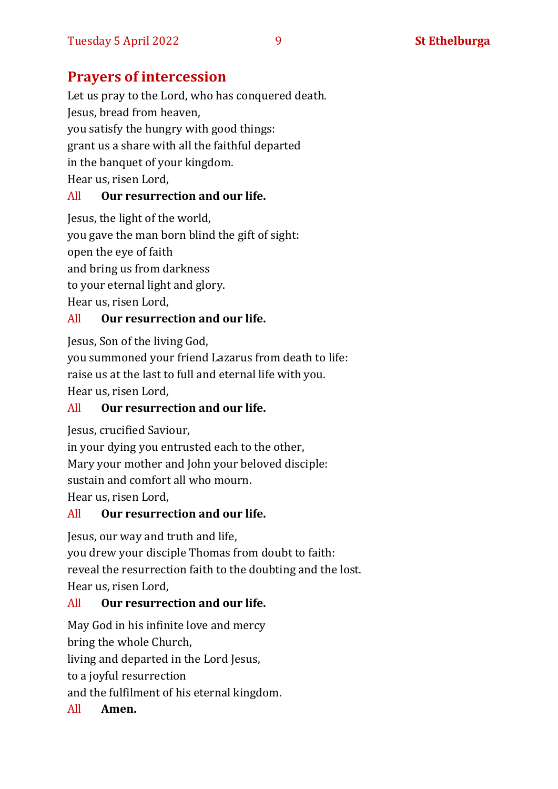# **Prayers of intercession**

Let us pray to the Lord, who has conquered death. Jesus, bread from heaven, you satisfy the hungry with good things: grant us a share with all the faithful departed in the banquet of your kingdom. Hear us, risen Lord,

#### All **Our resurrection and our life.**

Jesus, the light of the world, you gave the man born blind the gift of sight: open the eye of faith and bring us from darkness to your eternal light and glory. Hear us, risen Lord,

#### All **Our resurrection and our life.**

Jesus, Son of the living God,

you summoned your friend Lazarus from death to life: raise us at the last to full and eternal life with you.

Hear us, risen Lord,

#### All **Our resurrection and our life.**

Jesus, crucified Saviour,

in your dying you entrusted each to the other,

Mary your mother and John your beloved disciple:

sustain and comfort all who mourn.

Hear us, risen Lord,

#### All **Our resurrection and our life.**

Jesus, our way and truth and life,

you drew your disciple Thomas from doubt to faith: reveal the resurrection faith to the doubting and the lost. Hear us, risen Lord,

#### All **Our resurrection and our life.**

May God in his infinite love and mercy

bring the whole Church,

living and departed in the Lord Jesus,

to a joyful resurrection

and the fulfilment of his eternal kingdom.

All **Amen.**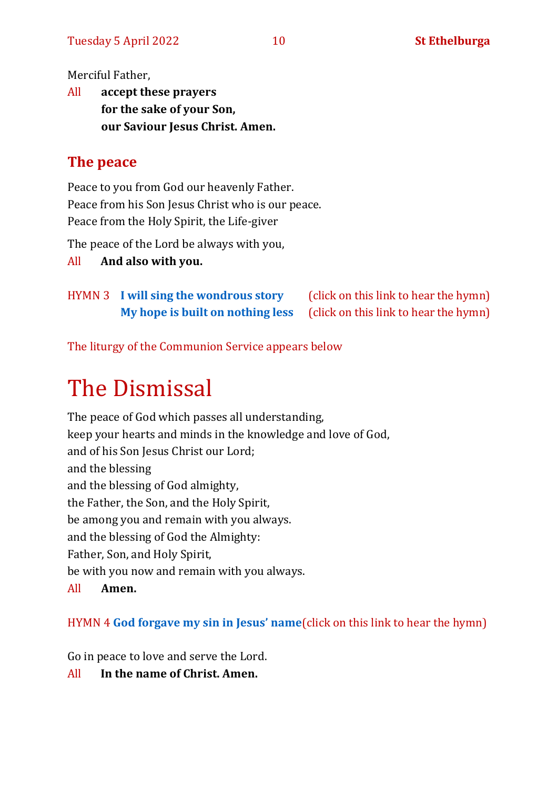Merciful Father,

All **accept these prayers for the sake of your Son, our Saviour Jesus Christ. Amen.**

# **The peace**

Peace to you from God our heavenly Father. Peace from his Son Jesus Christ who is our peace. Peace from the Holy Spirit, the Life-giver

The peace of the Lord be always with you,

All **And also with you.**

HYMN 3 **[I will sing the wondrous story](https://youtu.be/HQLLcxbOH4A)** (click on this link to hear the hymn) **[My hope is built on nothing less](https://youtu.be/anazDFHLHGk)** (click on this link to hear the hymn)

The liturgy of the Communion Service appears below

# The Dismissal

The peace of God which passes all understanding, keep your hearts and minds in the knowledge and love of God, and of his Son Jesus Christ our Lord; and the blessing and the blessing of God almighty, the Father, the Son, and the Holy Spirit, be among you and remain with you always. and the blessing of God the Almighty: Father, Son, and Holy Spirit, be with you now and remain with you always. All **Amen.**

HYMN 4 **[God forgave my sin in Jesus](https://youtu.be/QJ3eklr3fc0)' name**(click on this link to hear the hymn)

Go in peace to love and serve the Lord.

All **In the name of Christ. Amen.**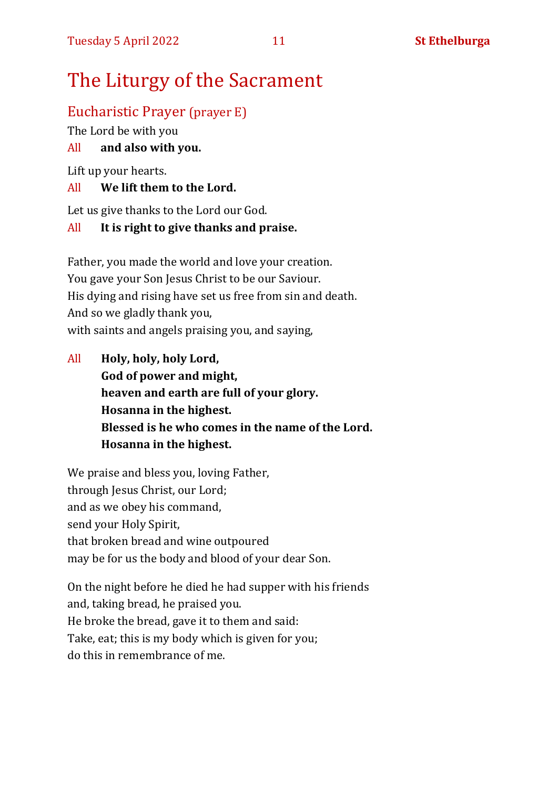# The Liturgy of the Sacrament

## Eucharistic Prayer (prayer E)

The Lord be with you

#### All **and also with you.**

Lift up your hearts.

#### All **We lift them to the Lord.**

Let us give thanks to the Lord our God.

#### All **It is right to give thanks and praise.**

Father, you made the world and love your creation. You gave your Son Jesus Christ to be our Saviour. His dying and rising have set us free from sin and death. And so we gladly thank you, with saints and angels praising you, and saying,

All **Holy, holy, holy Lord, God of power and might, heaven and earth are full of your glory. Hosanna in the highest. Blessed is he who comes in the name of the Lord. Hosanna in the highest.**

We praise and bless you, loving Father, through Jesus Christ, our Lord; and as we obey his command, send your Holy Spirit, that broken bread and wine outpoured may be for us the body and blood of your dear Son.

On the night before he died he had supper with his friends and, taking bread, he praised you. He broke the bread, gave it to them and said: Take, eat; this is my body which is given for you; do this in remembrance of me.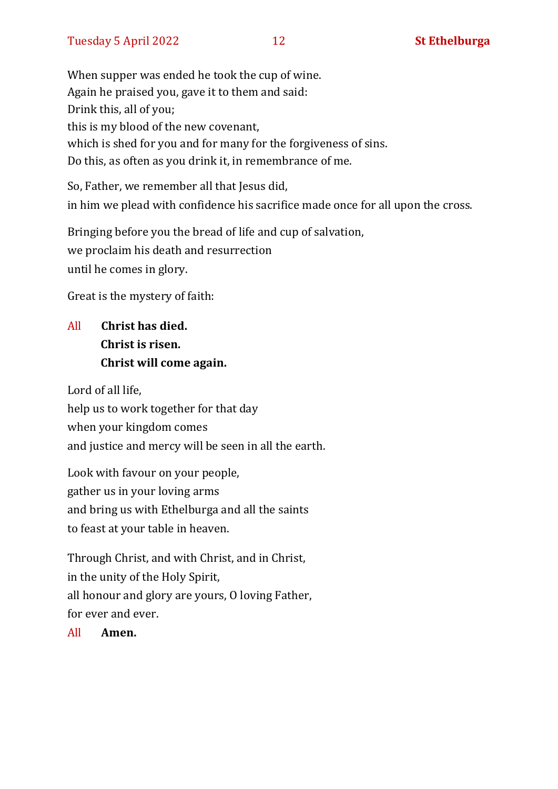When supper was ended he took the cup of wine. Again he praised you, gave it to them and said: Drink this, all of you; this is my blood of the new covenant, which is shed for you and for many for the forgiveness of sins. Do this, as often as you drink it, in remembrance of me.

So, Father, we remember all that Jesus did, in him we plead with confidence his sacrifice made once for all upon the cross.

Bringing before you the bread of life and cup of salvation, we proclaim his death and resurrection until he comes in glory.

Great is the mystery of faith:

# All **Christ has died. Christ is risen. Christ will come again.**

Lord of all life, help us to work together for that day when your kingdom comes and justice and mercy will be seen in all the earth.

Look with favour on your people, gather us in your loving arms and bring us with Ethelburga and all the saints to feast at your table in heaven.

Through Christ, and with Christ, and in Christ, in the unity of the Holy Spirit, all honour and glory are yours, O loving Father, for ever and ever.

All **Amen.**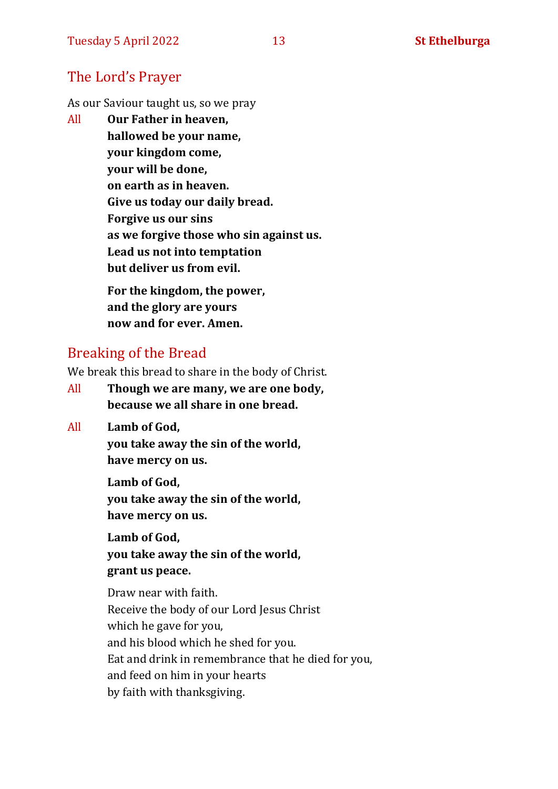#### The Lord's Prayer

As our Saviour taught us, so we pray

All **Our Father in heaven, hallowed be your name, your kingdom come, your will be done, on earth as in heaven. Give us today our daily bread. Forgive us our sins as we forgive those who sin against us. Lead us not into temptation but deliver us from evil. For the kingdom, the power,** 

**and the glory are yours now and for ever. Amen.**

#### Breaking of the Bread

We break this bread to share in the body of Christ.

- All **Though we are many, we are one body, because we all share in one bread.**
- All **Lamb of God,**

**you take away the sin of the world, have mercy on us.**

**Lamb of God, you take away the sin of the world, have mercy on us.**

**Lamb of God, you take away the sin of the world, grant us peace.**

Draw near with faith. Receive the body of our Lord Jesus Christ which he gave for you, and his blood which he shed for you. Eat and drink in remembrance that he died for you, and feed on him in your hearts by faith with thanksgiving.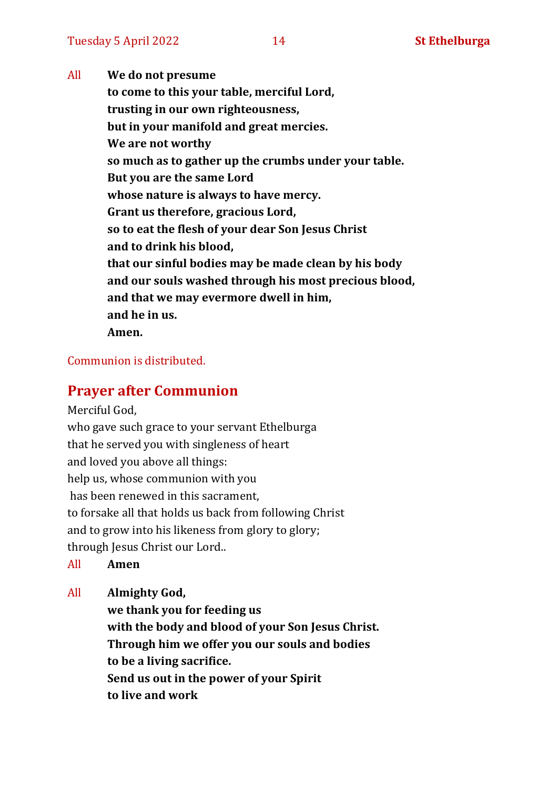All **We do not presume to come to this your table, merciful Lord, trusting in our own righteousness, but in your manifold and great mercies. We are not worthy so much as to gather up the crumbs under your table. But you are the same Lord whose nature is always to have mercy. Grant us therefore, gracious Lord, so to eat the flesh of your dear Son Jesus Christ and to drink his blood, that our sinful bodies may be made clean by his body and our souls washed through his most precious blood, and that we may evermore dwell in him, and he in us. Amen.**

#### Communion is distributed.

#### **Prayer after Communion**

Merciful God, who gave such grace to your servant Ethelburga that he served you with singleness of heart and loved you above all things: help us, whose communion with you has been renewed in this sacrament, to forsake all that holds us back from following Christ and to grow into his likeness from glory to glory; through Jesus Christ our Lord..

All **Amen**

All **Almighty God,**

**we thank you for feeding us with the body and blood of your Son Jesus Christ. Through him we offer you our souls and bodies to be a living sacrifice. Send us out in the power of your Spirit to live and work**